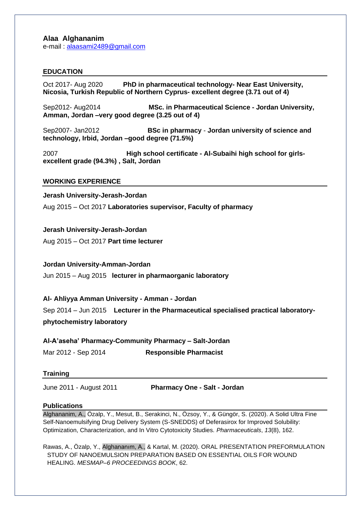# **Alaa Alghananim**

e-mail : [alaasami2489@gmail.com](mailto:alaasami2489@gmail.com) 

## **EDUCATION**

Oct 2017- Aug 2020 **PhD in pharmaceutical technology- Near East University, Nicosia, Turkish Republic of Northern Cyprus- excellent degree (3.71 out of 4)**

Sep2012- Aug2014 **MSc. in Pharmaceutical Science - Jordan University, Amman, Jordan –very good degree (3.25 out of 4)**

Sep2007- Jan2012 **BSc in pharmacy** - **Jordan university of science and technology, Irbid, Jordan –good degree (71.5%)**

2007 **High school certificate - Al-Subaihi high school for girlsexcellent grade (94.3%) , Salt, Jordan**

#### **WORKING EXPERIENCE**

#### **Jerash University-Jerash-Jordan**

Aug 2015 – Oct 2017 **Laboratories supervisor, Faculty of pharmacy**

#### **Jerash University-Jerash-Jordan**

Aug 2015 – Oct 2017 **Part time lecturer** 

#### **Jordan University-Amman-Jordan**

Jun 2015 – Aug 2015 **lecturer in pharmaorganic laboratory** 

## **Al- Ahliyya Amman University - Amman - Jordan**

Sep 2014 – Jun 2015 **Lecturer in the Pharmaceutical specialised practical laboratory-**

**phytochemistry laboratory**

## **Al-A'aseha' Pharmacy-Community Pharmacy – Salt-Jordan**

Mar 2012 - Sep 2014 **Responsible Pharmacist** 

## **Training**

June 2011 - August 2011 **Pharmacy One - Salt - Jordan**

#### **Publications**

Alghananim, A., Özalp, Y., Mesut, B., Serakinci, N., Özsoy, Y., & Güngör, S. (2020). A Solid Ultra Fine Self-Nanoemulsifying Drug Delivery System (S-SNEDDS) of Deferasirox for Improved Solubility: Optimization, Characterization, and In Vitro Cytotoxicity Studies. *Pharmaceuticals*, *13*(8), 162.

Rawas, A., Özalp, Y., Alghananım, A., & Kartal, M. (2020). ORAL PRESENTATION PREFORMULATION STUDY OF NANOEMULSION PREPARATION BASED ON ESSENTIAL OILS FOR WOUND HEALING. *MESMAP–6 PROCEEDINGS BOOK*, 62.